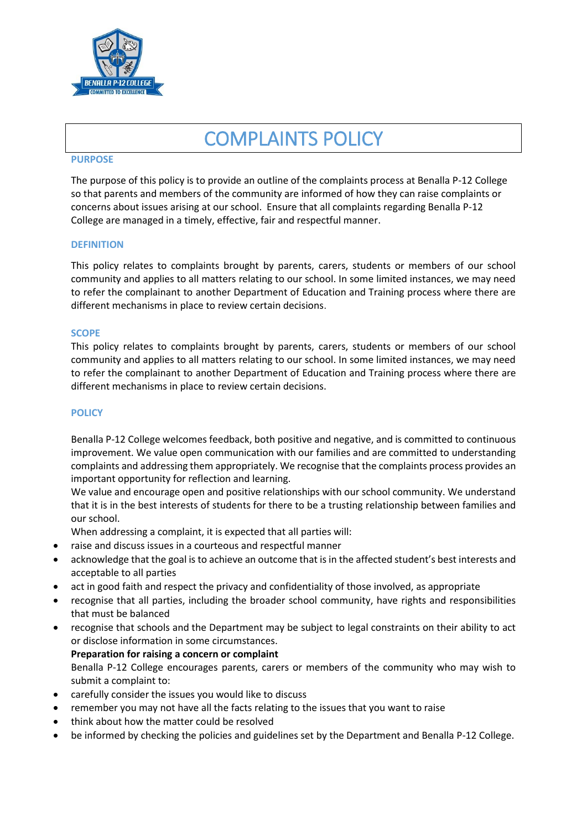

# COMPLAINTS POLICY

#### **PURPOSE**

The purpose of this policy is to provide an outline of the complaints process at Benalla P-12 College so that parents and members of the community are informed of how they can raise complaints or concerns about issues arising at our school. Ensure that all complaints regarding Benalla P-12 College are managed in a timely, effective, fair and respectful manner.

#### **DEFINITION**

This policy relates to complaints brought by parents, carers, students or members of our school community and applies to all matters relating to our school. In some limited instances, we may need to refer the complainant to another Department of Education and Training process where there are different mechanisms in place to review certain decisions.

#### **SCOPE**

This policy relates to complaints brought by parents, carers, students or members of our school community and applies to all matters relating to our school. In some limited instances, we may need to refer the complainant to another Department of Education and Training process where there are different mechanisms in place to review certain decisions.

#### **POLICY**

Benalla P-12 College welcomes feedback, both positive and negative, and is committed to continuous improvement. We value open communication with our families and are committed to understanding complaints and addressing them appropriately. We recognise that the complaints process provides an important opportunity for reflection and learning.

We value and encourage open and positive relationships with our school community. We understand that it is in the best interests of students for there to be a trusting relationship between families and our school.

When addressing a complaint, it is expected that all parties will:

- raise and discuss issues in a courteous and respectful manner
- acknowledge that the goal is to achieve an outcome that is in the affected student's best interests and acceptable to all parties
- act in good faith and respect the privacy and confidentiality of those involved, as appropriate
- recognise that all parties, including the broader school community, have rights and responsibilities that must be balanced
- recognise that schools and the Department may be subject to legal constraints on their ability to act or disclose information in some circumstances.

**Preparation for raising a concern or complaint** Benalla P-12 College encourages parents, carers or members of the community who may wish to submit a complaint to:

- carefully consider the issues you would like to discuss
- remember you may not have all the facts relating to the issues that you want to raise
- think about how the matter could be resolved
- be informed by checking the policies and guidelines set by the Department and Benalla P-12 College.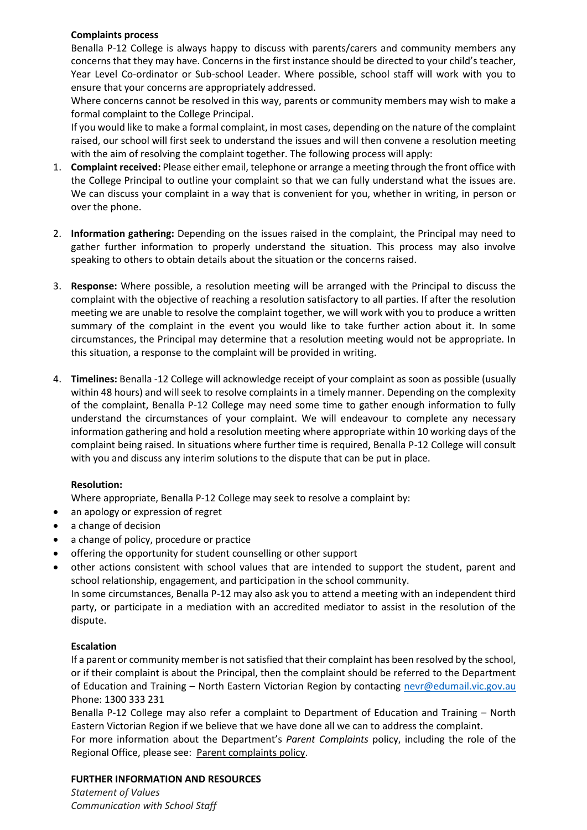## **Complaints process**

Benalla P-12 College is always happy to discuss with parents/carers and community members any concerns that they may have. Concerns in the first instance should be directed to your child's teacher, Year Level Co-ordinator or Sub-school Leader. Where possible, school staff will work with you to ensure that your concerns are appropriately addressed.

Where concerns cannot be resolved in this way, parents or community members may wish to make a formal complaint to the College Principal.

If you would like to make a formal complaint, in most cases, depending on the nature of the complaint raised, our school will first seek to understand the issues and will then convene a resolution meeting with the aim of resolving the complaint together. The following process will apply:

- 1. **Complaint received:** Please either email, telephone or arrange a meeting through the front office with the College Principal to outline your complaint so that we can fully understand what the issues are. We can discuss your complaint in a way that is convenient for you, whether in writing, in person or over the phone.
- 2. **Information gathering:** Depending on the issues raised in the complaint, the Principal may need to gather further information to properly understand the situation. This process may also involve speaking to others to obtain details about the situation or the concerns raised.
- 3. **Response:** Where possible, a resolution meeting will be arranged with the Principal to discuss the complaint with the objective of reaching a resolution satisfactory to all parties. If after the resolution meeting we are unable to resolve the complaint together, we will work with you to produce a written summary of the complaint in the event you would like to take further action about it. In some circumstances, the Principal may determine that a resolution meeting would not be appropriate. In this situation, a response to the complaint will be provided in writing.
- 4. **Timelines:** Benalla -12 College will acknowledge receipt of your complaint as soon as possible (usually within 48 hours) and will seek to resolve complaints in a timely manner. Depending on the complexity of the complaint, Benalla P-12 College may need some time to gather enough information to fully understand the circumstances of your complaint. We will endeavour to complete any necessary information gathering and hold a resolution meeting where appropriate within 10 working days of the complaint being raised. In situations where further time is required, Benalla P-12 College will consult with you and discuss any interim solutions to the dispute that can be put in place.

## **Resolution:**

Where appropriate, Benalla P-12 College may seek to resolve a complaint by:

- an apology or expression of regret
- a change of decision
- a change of policy, procedure or practice
- offering the opportunity for student counselling or other support
- other actions consistent with school values that are intended to support the student, parent and school relationship, engagement, and participation in the school community.

In some circumstances, Benalla P-12 may also ask you to attend a meeting with an independent third party, or participate in a mediation with an accredited mediator to assist in the resolution of the dispute.

## **Escalation**

If a parent or community member is not satisfied that their complaint has been resolved by the school, or if their complaint is about the Principal, then the complaint should be referred to the Department of Education and Training – North Eastern Victorian Region by contacting nevr@edumail.vic.gov.au Phone: 1300 333 231

Benalla P-12 College may also refer a complaint to Department of Education and Training – North Eastern Victorian Region if we believe that we have done all we can to address the complaint.

For more information about the Department's *Parent Complaints* policy, including the role of the Regional Office, please see: [Parent complaints policy.](http://www.education.vic.gov.au/Documents/school/principals/spag/community/policyparentsconcerns.pdf)

### **FURTHER INFORMATION AND RESOURCES**

*Statement of Values Communication with School Staff*